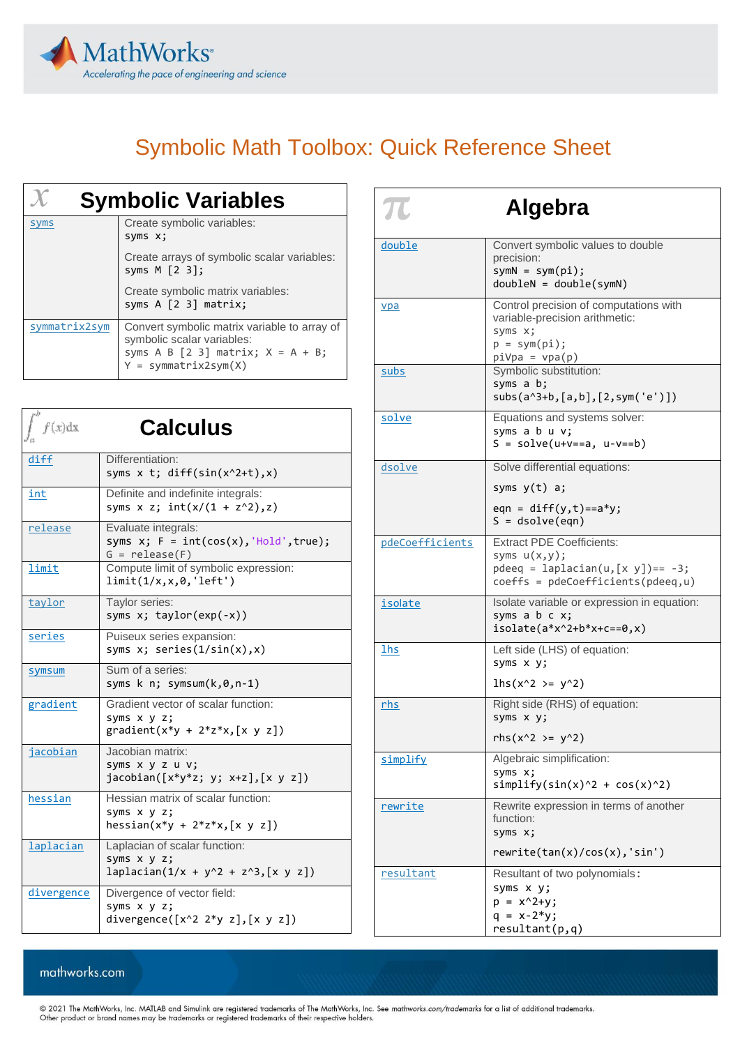

# Symbolic Math Toolbox: Quick Reference Sheet

| <b>Symbolic Variables</b> |                                                                                                                                              |  |
|---------------------------|----------------------------------------------------------------------------------------------------------------------------------------------|--|
| <b>SVMS</b>               | Create symbolic variables:<br>syms x;                                                                                                        |  |
|                           | Create arrays of symbolic scalar variables:<br>syms $M$ $[2 3]$ ;                                                                            |  |
|                           | Create symbolic matrix variables:<br>syms A [2 3] matrix;                                                                                    |  |
| symmatrix2sym             | Convert symbolic matrix variable to array of<br>symbolic scalar variables:<br>syms A B $[2 3]$ matrix; X = A + B;<br>$Y = symmartrix2sym(X)$ |  |

| f(x)dx     | <b>Calculus</b>                                                                              |
|------------|----------------------------------------------------------------------------------------------|
| diff       | Differentiation:<br>syms $x$ t; diff(sin( $x^2+t$ ), $x$ )                                   |
| int        | Definite and indefinite integrals:<br>syms x z; $int(x/(1 + z^2), z)$                        |
| release    | Evaluate integrals:<br>syms $x; F = int(cos(x), 'Hold', true);$<br>$G = release(F)$          |
| limit      | Compute limit of symbolic expression:<br>limit(1/x,x,0,'left')                               |
| taylor     | Taylor series:<br>syms $x;$ taylor( $exp(-x)$ )                                              |
| series     | Puiseux series expansion:<br>syms $x$ ; series( $1/sin(x),x$ )                               |
| symsum     | Sum of a series:<br>syms k n; symsum(k,0,n-1)                                                |
| gradient   | Gradient vector of scalar function:<br>syms x y z;<br>$gradient(x*y + 2*z*x, [x y z])$       |
| jacobian   | Jacobian matrix:<br>syms x y z u v;<br>$jacobian([x*y*z; y; x+z],[x y z])$                   |
| hessian    | Hessian matrix of scalar function:<br>syms x y z;<br>hessian(x*y + $2*z*x$ , $[x \ y \ z]$ ) |
| laplacian  | Laplacian of scalar function:<br>syms x y z;<br>$laplacian(1/x + y^2 + z^3, [x y z])$        |
| divergence | Divergence of vector field:<br>syms x y z;<br>divergence( $[x^2 \ 2^*y z]$ , $[x y z]$ )     |

| $\boldsymbol{\pi}$<br>Algebra |                                                                                                                                                   |  |
|-------------------------------|---------------------------------------------------------------------------------------------------------------------------------------------------|--|
| double                        | Convert symbolic values to double<br>precision:<br>$symN = sym(pi);$<br>$doubleN = double(symN)$                                                  |  |
| vpa<br>subs                   | Control precision of computations with<br>variable-precision arithmetic:<br>syms x;<br>$p = sym(pi);$<br>piVpa = vpa(p)<br>Symbolic substitution: |  |
|                               | syms a b;<br>$subs(a^3+b,[a,b],[2,sym('e')])$                                                                                                     |  |
| solve                         | Equations and systems solver:<br>syms a b u v;<br>$S = solve(u+v==a, u-v==b)$                                                                     |  |
| dsolve                        | Solve differential equations:<br>syms y(t) a;<br>eqn = $diff(y,t) == a*y;$<br>$S = dsolve(eqn)$                                                   |  |
| pdeCoefficients               | <b>Extract PDE Coefficients:</b><br>syms $u(x,y)$ ;<br>$p$ deeq = laplacian(u, $[x \ y]$ ) == -3;<br>$coeffs = pdeCoefficients(pdeeq,u)$          |  |
| isolate                       | Isolate variable or expression in equation:<br>syms a b c x;<br>$isolate(a*x^2+b*x+c==0,x)$                                                       |  |
| <b>lhs</b>                    | Left side (LHS) of equation:<br>syms x y;<br>$\ln s(x^2) = y^2)$                                                                                  |  |
| rhs                           | Right side (RHS) of equation:<br>syms x y;<br>$rhs(x^2 > = y^2)$                                                                                  |  |
| simplify                      | Algebraic simplification:<br>syms x;<br>$simplify(sin(x)^2 + cos(x)^2)$                                                                           |  |
| rewrite                       | Rewrite expression in terms of another<br>function:<br>syms x;<br>rewrite(tan(x)/cos(x), 'sin')                                                   |  |
| resultant                     | Resultant of two polynomials:<br>syms x y;<br>$p = x^2 + y;$<br>$q = x - 2*y;$<br>resultant(p,q)                                                  |  |

#### mathworks.com

© 2021 The MathWorks, Inc. MATLAB and Simulink are registered trademarks of The MathWorks, Inc. See *mathworks.com/trademarks* for a list of additional trademarks.<br>Other product or brand names may be trademarks or register